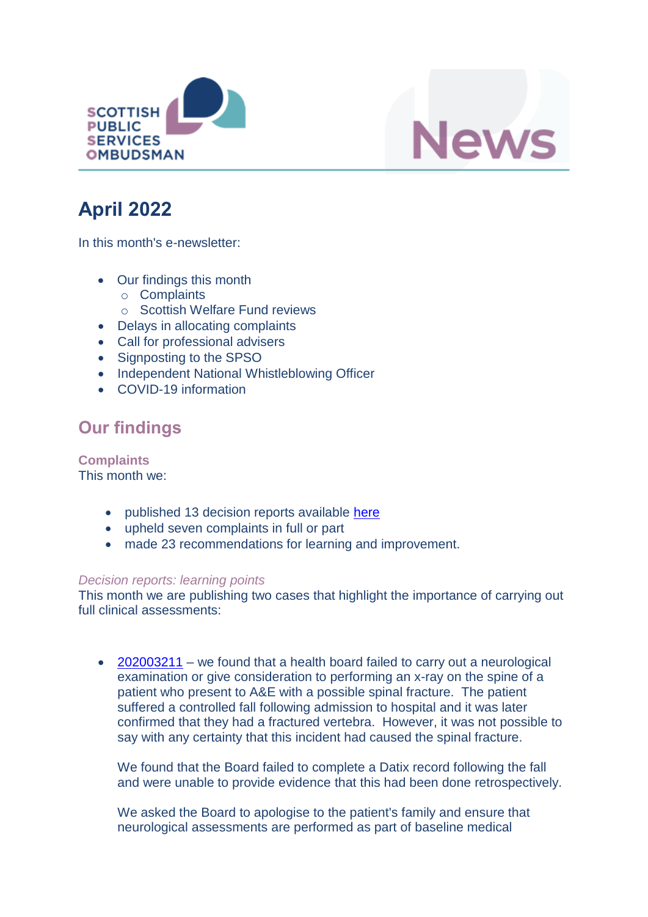



# **April 2022**

In this month's e-newsletter:

- Our findings this month
	- o Complaints
	- o Scottish Welfare Fund reviews
- Delays in allocating complaints
- Call for professional advisers
- Signposting to the SPSO
- Independent National Whistleblowing Officer
- COVID-19 information

### **Our findings**

**Complaints** This month we:

- published 13 decision reports available [here](https://www.spso.org.uk/our-findings)
- upheld seven complaints in full or part
- made 23 recommendations for learning and improvement.

#### *Decision reports: learning points*

This month we are publishing two cases that highlight the importance of carrying out full clinical assessments:

• [202003211](https://www.spso.org.uk/decision-reports/2022/april/decision-report-202003211-202003211) – we found that a health board failed to carry out a neurological examination or give consideration to performing an x-ray on the spine of a patient who present to A&E with a possible spinal fracture. The patient suffered a controlled fall following admission to hospital and it was later confirmed that they had a fractured vertebra. However, it was not possible to say with any certainty that this incident had caused the spinal fracture.

We found that the Board failed to complete a Datix record following the fall and were unable to provide evidence that this had been done retrospectively.

We asked the Board to apologise to the patient's family and ensure that neurological assessments are performed as part of baseline medical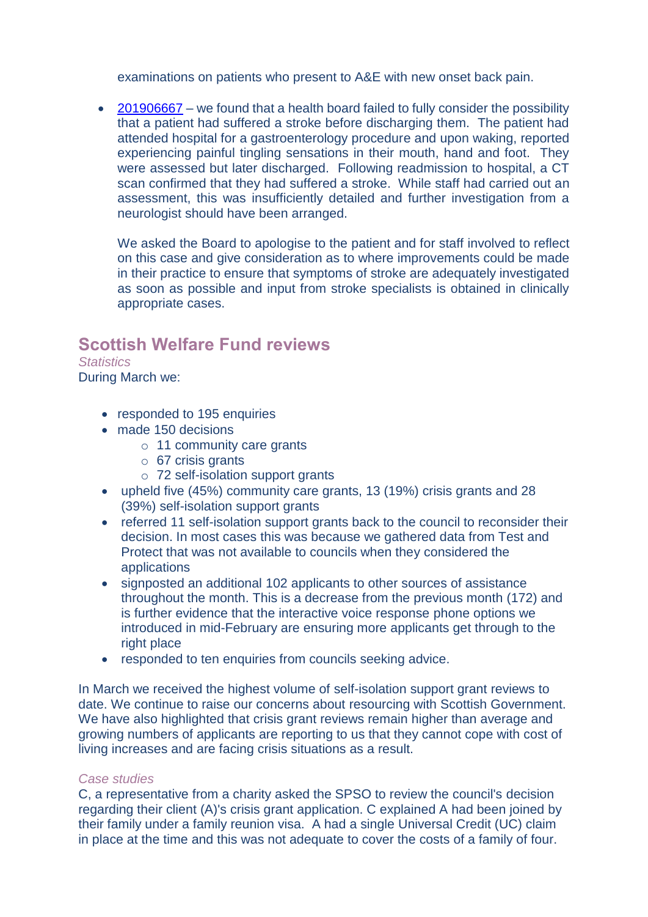examinations on patients who present to A&E with new onset back pain.

• [201906667](https://www.spso.org.uk/decision-reports/2022/april/decision-report-201906667-201906667) – we found that a health board failed to fully consider the possibility that a patient had suffered a stroke before discharging them. The patient had attended hospital for a gastroenterology procedure and upon waking, reported experiencing painful tingling sensations in their mouth, hand and foot. They were assessed but later discharged. Following readmission to hospital, a CT scan confirmed that they had suffered a stroke. While staff had carried out an assessment, this was insufficiently detailed and further investigation from a neurologist should have been arranged.

We asked the Board to apologise to the patient and for staff involved to reflect on this case and give consideration as to where improvements could be made in their practice to ensure that symptoms of stroke are adequately investigated as soon as possible and input from stroke specialists is obtained in clinically appropriate cases.

#### **Scottish Welfare Fund reviews**

*Statistics* During March we:

- responded to 195 enquiries
- made 150 decisions
	- o 11 community care grants
	- o 67 crisis grants
	- o 72 self-isolation support grants
- upheld five (45%) community care grants, 13 (19%) crisis grants and 28 (39%) self-isolation support grants
- referred 11 self-isolation support grants back to the council to reconsider their decision. In most cases this was because we gathered data from Test and Protect that was not available to councils when they considered the applications
- signposted an additional 102 applicants to other sources of assistance throughout the month. This is a decrease from the previous month (172) and is further evidence that the interactive voice response phone options we introduced in mid-February are ensuring more applicants get through to the right place
- responded to ten enquiries from councils seeking advice.

In March we received the highest volume of self-isolation support grant reviews to date. We continue to raise our concerns about resourcing with Scottish Government. We have also highlighted that crisis grant reviews remain higher than average and growing numbers of applicants are reporting to us that they cannot cope with cost of living increases and are facing crisis situations as a result.

#### *Case studies*

C, a representative from a charity asked the SPSO to review the council's decision regarding their client (A)'s crisis grant application. C explained A had been joined by their family under a family reunion visa. A had a single Universal Credit (UC) claim in place at the time and this was not adequate to cover the costs of a family of four.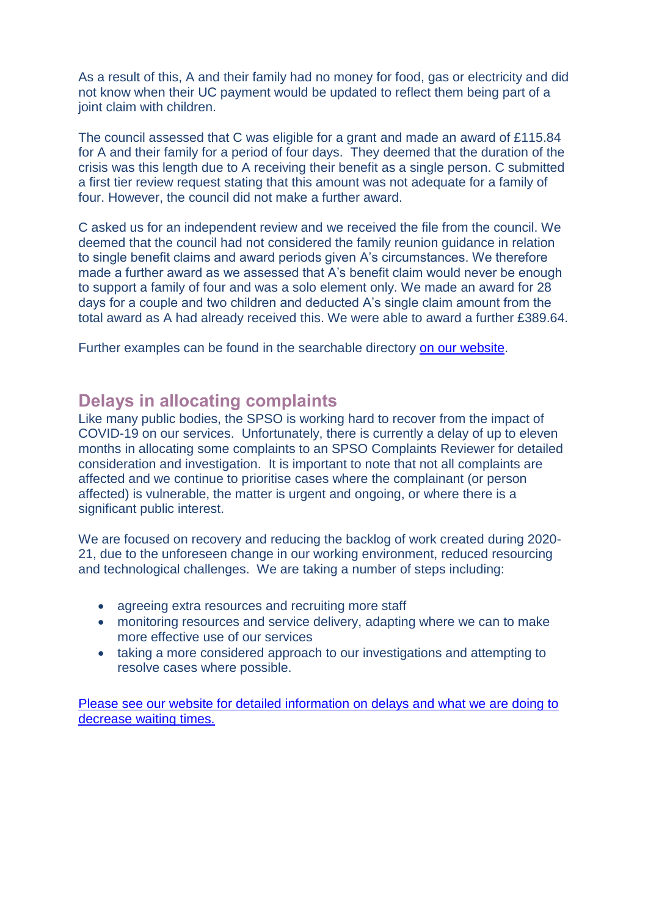As a result of this, A and their family had no money for food, gas or electricity and did not know when their UC payment would be updated to reflect them being part of a joint claim with children.

The council assessed that C was eligible for a grant and made an award of £115.84 for A and their family for a period of four days. They deemed that the duration of the crisis was this length due to A receiving their benefit as a single person. C submitted a first tier review request stating that this amount was not adequate for a family of four. However, the council did not make a further award.

C asked us for an independent review and we received the file from the council. We deemed that the council had not considered the family reunion guidance in relation to single benefit claims and award periods given A's circumstances. We therefore made a further award as we assessed that A's benefit claim would never be enough to support a family of four and was a solo element only. We made an award for 28 days for a couple and two children and deducted A's single claim amount from the total award as A had already received this. We were able to award a further £389.64.

Further examples can be found in the searchable directory [on our website.](https://www.spso.org.uk/scottishwelfarefund/case-summaries)

#### **Delays in allocating complaints**

Like many public bodies, the SPSO is working hard to recover from the impact of COVID-19 on our services. Unfortunately, there is currently a delay of up to eleven months in allocating some complaints to an SPSO Complaints Reviewer for detailed consideration and investigation. It is important to note that not all complaints are affected and we continue to prioritise cases where the complainant (or person affected) is vulnerable, the matter is urgent and ongoing, or where there is a significant public interest.

We are focused on recovery and reducing the backlog of work created during 2020- 21, due to the unforeseen change in our working environment, reduced resourcing and technological challenges. We are taking a number of steps including:

- agreeing extra resources and recruiting more staff
- monitoring resources and service delivery, adapting where we can to make more effective use of our services
- taking a more considered approach to our investigations and attempting to resolve cases where possible.

[Please see our website for detailed information on delays and what we are doing to](https://www.spso.org.uk/detailed-information-delays)  decrease waiting times.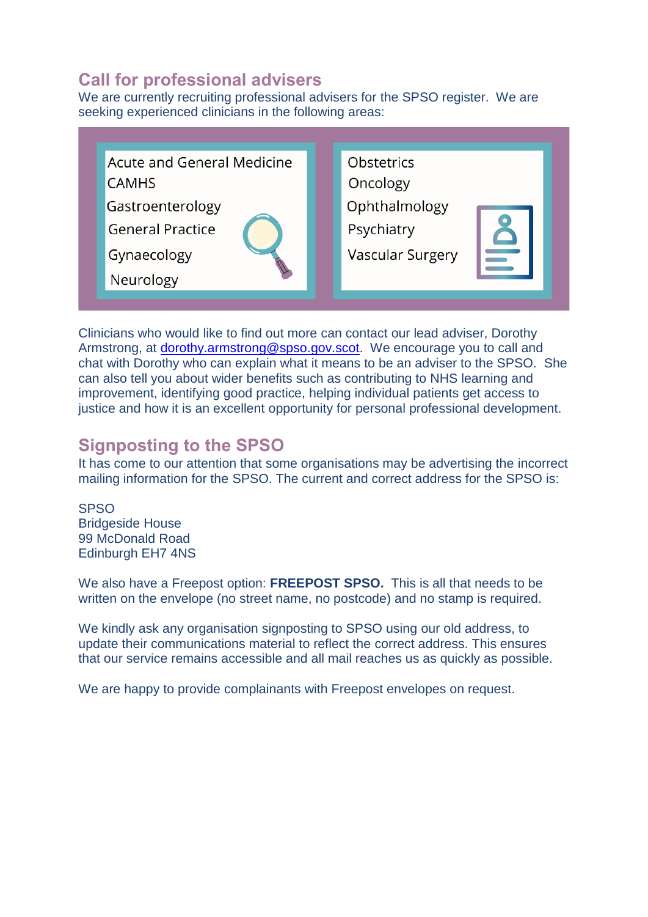### **Call for professional advisers**

We are currently recruiting professional advisers for the SPSO register. We are seeking experienced clinicians in the following areas:

| <b>Acute and General Medicine</b> | Obstetrics       |
|-----------------------------------|------------------|
| <b>CAMHS</b>                      | Oncology         |
| Gastroenterology                  | Ophthalmology    |
| <b>General Practice</b>           | Psychiatry       |
| Gynaecology                       | Vascular Surgery |
| Neurology                         |                  |

Clinicians who would like to find out more can contact our lead adviser, Dorothy Armstrong, at [dorothy.armstrong@spso.gov.scot.](mailto:dorothy.armstrong@spso.gov.scot) We encourage you to call and chat with Dorothy who can explain what it means to be an adviser to the SPSO. She can also tell you about wider benefits such as contributing to NHS learning and improvement, identifying good practice, helping individual patients get access to justice and how it is an excellent opportunity for personal professional development.

### **Signposting to the SPSO**

It has come to our attention that some organisations may be advertising the incorrect mailing information for the SPSO. The current and correct address for the SPSO is:

**SPSO** Bridgeside House 99 McDonald Road Edinburgh EH7 4NS

We also have a Freepost option: **FREEPOST SPSO.** This is all that needs to be written on the envelope (no street name, no postcode) and no stamp is required.

We kindly ask any organisation signposting to SPSO using our old address, to update their communications material to reflect the correct address. This ensures that our service remains accessible and all mail reaches us as quickly as possible.

We are happy to provide complainants with Freepost envelopes on request.